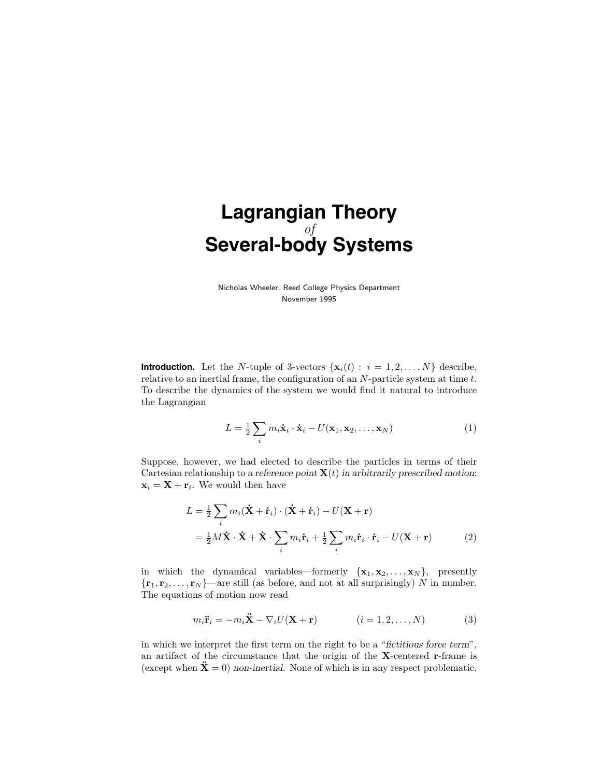# **Lagrangian Theory** of **Several-body Systems**

Nicholas Wheeler, Reed College Physics Department November 1995

**Introduction.** Let the N-tuple of 3-vectors  $\{x_i(t): i = 1, 2, ..., N\}$  describe, relative to an inertial frame, the configuration of an N-particle system at time t. To describe the dynamics of the system we would find it natural to introduce the Lagrangian

$$
L = \frac{1}{2} \sum_{i} m_i \dot{\mathbf{x}}_i \cdot \dot{\mathbf{x}}_i - U(\mathbf{x}_1, \mathbf{x}_2, \dots, \mathbf{x}_N)
$$
(1)

Suppose, however, we had elected to describe the particles in terms of their Cartesian relationship to a reference point  $\mathbf{X}(t)$  in arbitrarily prescribed motion:  $\mathbf{x}_i = \mathbf{X} + \mathbf{r}_i$ . We would then have

$$
L = \frac{1}{2} \sum_{i} m_i (\dot{\mathbf{X}} + \dot{\mathbf{r}}_i) \cdot (\dot{\mathbf{X}} + \dot{\mathbf{r}}_i) - U(\mathbf{X} + \mathbf{r})
$$
  
=  $\frac{1}{2} M \dot{\mathbf{X}} \cdot \dot{\mathbf{X}} + \dot{\mathbf{X}} \cdot \sum_{i} m_i \dot{\mathbf{r}}_i + \frac{1}{2} \sum_{i} m_i \dot{\mathbf{r}}_i \cdot \dot{\mathbf{r}}_i - U(\mathbf{X} + \mathbf{r})$  (2)

in which the dynamical variables—formerly  $\{x_1, x_2, \ldots, x_N\}$ , presently  $\{r_1, r_2, \ldots, r_N\}$ —are still (as before, and not at all surprisingly) N in number. The equations of motion now read

$$
m_i \ddot{\mathbf{r}}_i = -m_i \ddot{\mathbf{X}} - \nabla_i U(\mathbf{X} + \mathbf{r}) \qquad (i = 1, 2, \dots, N) \qquad (3)
$$

in which we interpret the first term on the right to be a "fictitious force term", an artifact of the circumstance that the origin of the X-centered r-frame is (except when  $\ddot{\mathbf{X}} = 0$ ) non-inertial. None of which is in any respect problematic.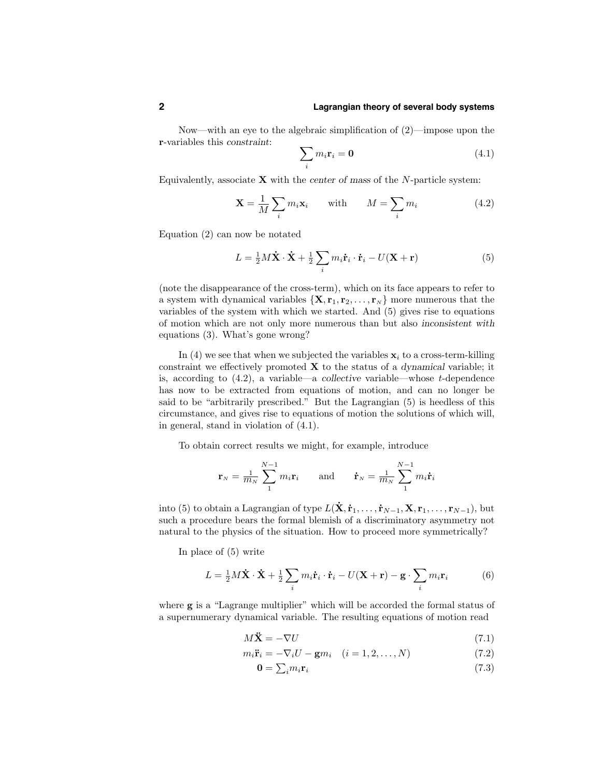### **2 Lagrangian theory of several body systems**

Now—with an eye to the algebraic simplification of (2)—impose upon the r-variables this *constraint*:

$$
\sum_{i} m_i \mathbf{r}_i = \mathbf{0} \tag{4.1}
$$

Equivalently, associate  $X$  with the center of mass of the  $N$ -particle system:

$$
\mathbf{X} = \frac{1}{M} \sum_{i} m_i \mathbf{x}_i \quad \text{with} \quad M = \sum_{i} m_i \tag{4.2}
$$

Equation (2) can now be notated

$$
L = \frac{1}{2}M\dot{\mathbf{X}}\cdot\dot{\mathbf{X}} + \frac{1}{2}\sum_{i} m_{i}\dot{\mathbf{r}}_{i}\cdot\dot{\mathbf{r}}_{i} - U(\mathbf{X} + \mathbf{r})
$$
(5)

(note the disappearance of the cross-term), which on its face appears to refer to a system with dynamical variables  $\{X, r_1, r_2, \ldots, r_N\}$  more numerous that the variables of the system with which we started. And (5) gives rise to equations of motion which are not only more numerous than but also inconsistent with equations (3). What's gone wrong?

In (4) we see that when we subjected the variables  $x_i$  to a cross-term-killing constraint we effectively promoted  $X$  to the status of a dynamical variable; it is, according to  $(4.2)$ , a variable—a collective variable—whose t-dependence has now to be extracted from equations of motion, and can no longer be said to be "arbitrarily prescribed." But the Lagrangian (5) is heedless of this circumstance, and gives rise to equations of motion the solutions of which will, in general, stand in violation of (4.1).

To obtain correct results we might, for example, introduce

$$
\mathbf{r}_{\scriptscriptstyle N} = \frac{1}{m_{\scriptscriptstyle N}}\sum_{1}^{N-1}m_{i}\mathbf{r}_{i} \qquad\text{and}\qquad \dot{\mathbf{r}}_{\scriptscriptstyle N} = \frac{1}{m_{\scriptscriptstyle N}}\sum_{1}^{N-1}m_{i}\dot{\mathbf{r}}_{i}
$$

into (5) to obtain a Lagrangian of type  $L(\mathbf{X}, \mathbf{r}_1, \ldots, \mathbf{r}_{N-1}, \mathbf{X}, \mathbf{r}_1, \ldots, \mathbf{r}_{N-1}),$  but such a procedure bears the formal blemish of a discriminatory asymmetry not natural to the physics of the situation. How to proceed more symmetrically?

In place of (5) write

$$
L = \frac{1}{2}M\dot{\mathbf{X}} \cdot \dot{\mathbf{X}} + \frac{1}{2} \sum_{i} m_{i} \dot{\mathbf{r}}_{i} \cdot \dot{\mathbf{r}}_{i} - U(\mathbf{X} + \mathbf{r}) - \mathbf{g} \cdot \sum_{i} m_{i} \mathbf{r}_{i}
$$
(6)

where g is a "Lagrange multiplier" which will be accorded the formal status of a supernumerary dynamical variable. The resulting equations of motion read

$$
M\ddot{\mathbf{X}} = -\nabla U\tag{7.1}
$$

$$
m_i \ddot{\mathbf{r}}_i = -\nabla_i U - \mathbf{g} m_i \quad (i = 1, 2, \dots, N)
$$
\n
$$
(7.2)
$$

$$
\mathbf{0} = \sum_{i} m_i \mathbf{r}_i \tag{7.3}
$$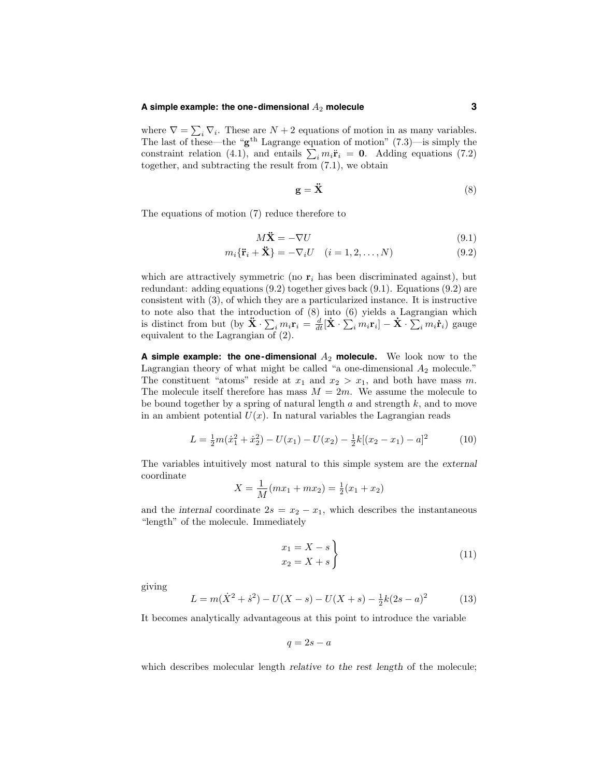# **A simple example: the one-dimensional** A<sup>2</sup> **molecule 3**

where  $\nabla = \sum_i \nabla_i$ . These are  $N + 2$  equations of motion in as many variables. The last of these—the " $g<sup>th</sup>$  Lagrange equation of motion" (7.3)—is simply the constraint relation (4.1), and entails  $\sum_i m_i \ddot{\mathbf{r}}_i = \mathbf{0}$ . Adding equations (7.2) together, and subtracting the result from (7.1), we obtain

$$
\mathbf{g} = \ddot{\mathbf{X}} \tag{8}
$$

The equations of motion (7) reduce therefore to

$$
M\ddot{\mathbf{X}} = -\nabla U\tag{9.1}
$$

$$
m_i\{\ddot{\mathbf{r}}_i + \ddot{\mathbf{X}}\} = -\nabla_i U \quad (i = 1, 2, \dots, N)
$$
\n(9.2)

which are attractively symmetric (no  $\mathbf{r}_i$  has been discriminated against), but redundant: adding equations (9.2) together gives back (9.1). Equations (9.2) are consistent with (3), of which they are a particularized instance. It is instructive to note also that the introduction of (8) into (6) yields a Lagrangian which is distinct from but (by  $\ddot{\mathbf{X}} \cdot \sum_i m_i \mathbf{r}_i = \frac{d}{dt} [\dot{\mathbf{X}} \cdot \sum_i m_i \mathbf{r}_i] - \dot{\mathbf{X}} \cdot \sum_i m_i \dot{\mathbf{r}}_i$ ) gauge equivalent to the Lagrangian of (2).

**A simple example: the one-dimensional** A<sup>2</sup> **molecule.** We look now to the Lagrangian theory of what might be called "a one-dimensional  $A_2$  molecule." The constituent "atoms" reside at  $x_1$  and  $x_2 > x_1$ , and both have mass m. The molecule itself therefore has mass  $M = 2m$ . We assume the molecule to be bound together by a spring of natural length  $a$  and strength  $k$ , and to move in an ambient potential  $U(x)$ . In natural variables the Lagrangian reads

$$
L = \frac{1}{2}m(\dot{x}_1^2 + \dot{x}_2^2) - U(x_1) - U(x_2) - \frac{1}{2}k[(x_2 - x_1) - a]^2
$$
 (10)

The variables intuitively most natural to this simple system are the external coordinate

$$
X = \frac{1}{M}(mx_1 + mx_2) = \frac{1}{2}(x_1 + x_2)
$$

and the internal coordinate  $2s = x_2 - x_1$ , which describes the instantaneous "length" of the molecule. Immediately

$$
\begin{aligned}\nx_1 &= X - s \\
x_2 &= X + s\n\end{aligned}
$$
\n(11)

giving

$$
L = m(\dot{X}^2 + \dot{s}^2) - U(X - s) - U(X + s) - \frac{1}{2}k(2s - a)^2
$$
 (13)

It becomes analytically advantageous at this point to introduce the variable

$$
q=2s-a
$$

which describes molecular length *relative to the rest length* of the molecule;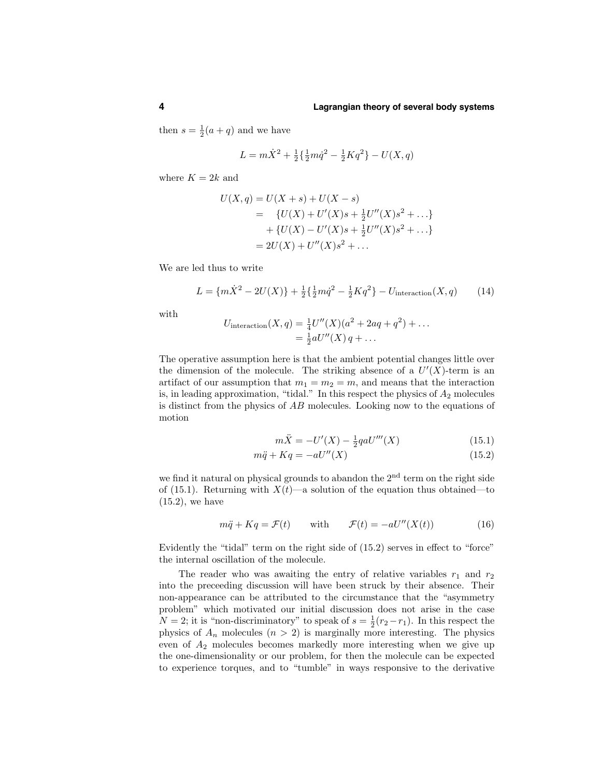then  $s = \frac{1}{2}(a + q)$  and we have

$$
L = m\dot{X}^{2} + \frac{1}{2}\left\{\frac{1}{2}m\dot{q}^{2} - \frac{1}{2}Kq^{2}\right\} - U(X, q)
$$

where  $K = 2k$  and

$$
U(X,q) = U(X+s) + U(X-s)
$$
  
= { $U(X) + U'(X)s + \frac{1}{2}U''(X)s^2 + ...$ }  
+ { $U(X) - U'(X)s + \frac{1}{2}U''(X)s^2 + ...$ }  
= 2U(X) + U''(X)s<sup>2</sup> + ...

We are led thus to write

$$
L = \{m\dot{X}^2 - 2U(X)\} + \frac{1}{2}\left\{\frac{1}{2}m\dot{q}^2 - \frac{1}{2}Kq^2\right\} - U_{\text{interaction}}(X, q) \tag{14}
$$

with

$$
U_{\text{interaction}}(X, q) = \frac{1}{4}U''(X)(a^2 + 2aq + q^2) + \dots = \frac{1}{2}aU''(X)q + \dots
$$

The operative assumption here is that the ambient potential changes little over the dimension of the molecule. The striking absence of a  $U'(X)$ -term is an artifact of our assumption that  $m_1 = m_2 = m$ , and means that the interaction is, in leading approximation, "tidal." In this respect the physics of  $A_2$  molecules is distinct from the physics of AB molecules. Looking now to the equations of motion

$$
m\ddot{X} = -U'(X) - \frac{1}{2}qaU'''(X)
$$
\n(15.1)

$$
m\ddot{q} + Kq = -aU''(X) \tag{15.2}
$$

we find it natural on physical grounds to abandon the 2<sup>nd</sup> term on the right side of (15.1). Returning with  $X(t)$ —a solution of the equation thus obtained—to  $(15.2)$ , we have

$$
m\ddot{q} + Kq = \mathcal{F}(t) \quad \text{with} \quad \mathcal{F}(t) = -aU''(X(t)) \tag{16}
$$

Evidently the "tidal" term on the right side of (15.2) serves in effect to "force" the internal oscillation of the molecule.

The reader who was awaiting the entry of relative variables  $r_1$  and  $r_2$ into the preceeding discussion will have been struck by their absence. Their non-appearance can be attributed to the circumstance that the "asymmetry problem" which motivated our initial discussion does not arise in the case  $N = 2$ ; it is "non-discriminatory" to speak of  $s = \frac{1}{2}(r_2 - r_1)$ . In this respect the physics of  $A_n$  molecules  $(n > 2)$  is marginally more interesting. The physics even of  $A_2$  molecules becomes markedly more interesting when we give up the one-dimensionality or our problem, for then the molecule can be expected to experience torques, and to "tumble" in ways responsive to the derivative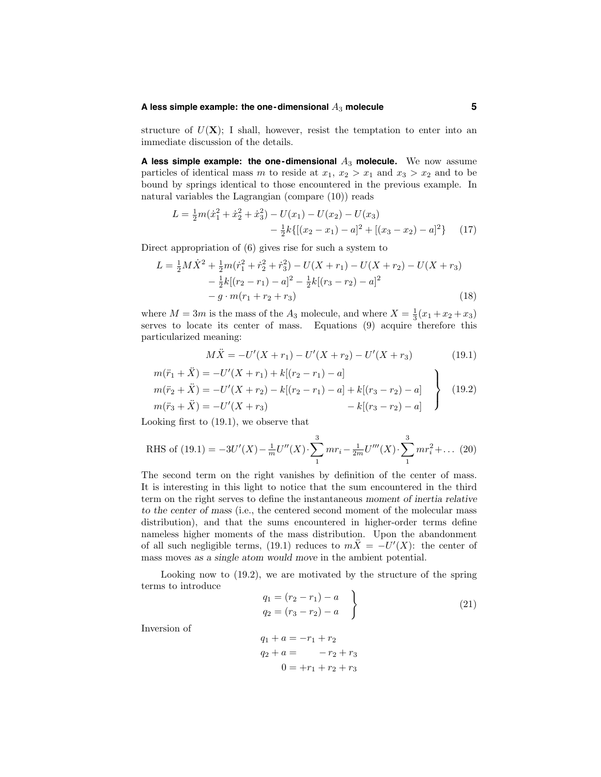# **A less simple example: the one-dimensional** A<sup>3</sup> **molecule 5**

structure of  $U(\mathbf{X})$ ; I shall, however, resist the temptation to enter into an immediate discussion of the details.

**A** less simple example: the one-dimensional  $A_3$  molecule. We now assume particles of identical mass m to reside at  $x_1, x_2 > x_1$  and  $x_3 > x_2$  and to be bound by springs identical to those encountered in the previous example. In natural variables the Lagrangian (compare (10)) reads

$$
L = \frac{1}{2}m(\dot{x}_1^2 + \dot{x}_2^2 + \dot{x}_3^2) - U(x_1) - U(x_2) - U(x_3) - \frac{1}{2}k\{[(x_2 - x_1) - a]^2 + [(x_3 - x_2) - a]^2\}
$$
 (17)

Direct appropriation of (6) gives rise for such a system to

$$
L = \frac{1}{2}M\dot{X}^2 + \frac{1}{2}m(\dot{r}_1^2 + \dot{r}_2^2 + \dot{r}_3^2) - U(X + r_1) - U(X + r_2) - U(X + r_3)
$$
  

$$
- \frac{1}{2}k[(r_2 - r_1) - a]^2 - \frac{1}{2}k[(r_3 - r_2) - a]^2
$$
  

$$
- g \cdot m(r_1 + r_2 + r_3)
$$
 (18)

where  $M = 3m$  is the mass of the  $A_3$  molecule, and where  $X = \frac{1}{3}(x_1 + x_2 + x_3)$ serves to locate its center of mass. Equations (9) acquire therefore this particularized meaning:

$$
M\ddot{X} = -U'(X+r_1) - U'(X+r_2) - U'(X+r_3)
$$
\n(19.1)

$$
m(\ddot{r}_1 + \ddot{X}) = -U'(X + r_1) + k[(r_2 - r_1) - a]
$$
  
\n
$$
m(\ddot{r}_2 + \ddot{X}) = -U'(X + r_2) - k[(r_2 - r_1) - a] + k[(r_3 - r_2) - a]
$$
  
\n
$$
m(\ddot{r}_3 + \ddot{X}) = -U'(X + r_3)
$$
\n
$$
- k[(r_3 - r_2) - a]
$$
\n(19.2)

Looking first to (19.1), we observe that

Inversion of

RHS of (19.1) = 
$$
-3U'(X) - \frac{1}{m}U''(X) \cdot \sum_{1}^{3} mr_i - \frac{1}{2m}U'''(X) \cdot \sum_{1}^{3} mr_i^2 + ...
$$
 (20)

The second term on the right vanishes by definition of the center of mass. It is interesting in this light to notice that the sum encountered in the third term on the right serves to define the instantaneous moment of inertia relative to the center of mass (i.e., the centered second moment of the molecular mass distribution), and that the sums encountered in higher-order terms define nameless higher moments of the mass distribution. Upon the abandonment of all such negligible terms, (19.1) reduces to  $m\ddot{X} = -U'(X)$ : the center of mass moves as a single atom would move in the ambient potential.

Looking now to (19.2), we are motivated by the structure of the spring terms to introduce  $\lambda$ 

$$
q_{1} = (r_{2} - r_{1}) - a
$$
  
\n
$$
q_{2} = (r_{3} - r_{2}) - a
$$
  
\n
$$
q_{1} + a = -r_{1} + r_{2}
$$
  
\n
$$
q_{2} + a = -r_{2} + r_{3}
$$
  
\n
$$
0 = +r_{1} + r_{2} + r_{3}
$$
  
\n(21)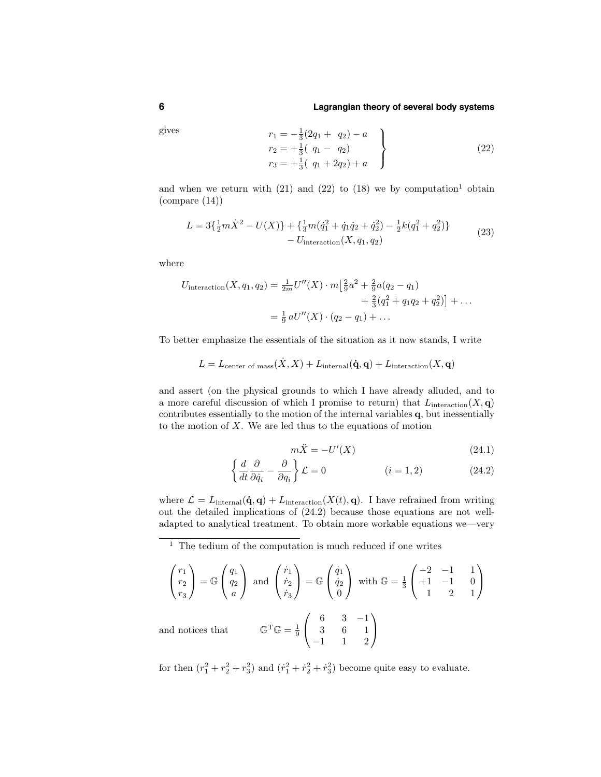### **6 Lagrangian theory of several body systems**

gives  
\n
$$
\begin{aligned}\nr_1 &= -\frac{1}{3}(2q_1 + q_2) - a \\
r_2 &= +\frac{1}{3}(q_1 - q_2) \\
r_3 &= +\frac{1}{3}(q_1 + 2q_2) + a\n\end{aligned}
$$
\n(22)

and when we return with  $(21)$  and  $(22)$  to  $(18)$  we by computation<sup>1</sup> obtain  $\pmod{(14)}$ 

$$
L = 3\{\frac{1}{2}m\dot{X}^2 - U(X)\} + \{\frac{1}{3}m(\dot{q}_1^2 + \dot{q}_1\dot{q}_2 + \dot{q}_2^2) - \frac{1}{2}k(q_1^2 + q_2^2)\} - U_{\text{interaction}}(X, q_1, q_2)
$$
\n(23)

where

$$
U_{\text{interaction}}(X, q_1, q_2) = \frac{1}{2m} U''(X) \cdot m \left[ \frac{2}{9} a^2 + \frac{2}{9} a (q_2 - q_1) + \frac{2}{3} (q_1^2 + q_1 q_2 + q_2^2) \right] + \dots
$$
  

$$
= \frac{1}{9} a U''(X) \cdot (q_2 - q_1) + \dots
$$

To better emphasize the essentials of the situation as it now stands, I write

$$
L = L_{\text{center of mass}}(\dot{X},X) + L_{\text{internal}}(\dot{\mathbf{q}},\mathbf{q}) + L_{\text{interaction}}(X,\mathbf{q})
$$

and assert (on the physical grounds to which I have already alluded, and to a more careful discussion of which I promise to return) that  $L_{\text{interaction}}(X, \mathbf{q})$ contributes essentially to the motion of the internal variables q, but inessentially to the motion of  $X$ . We are led thus to the equations of motion

$$
m\ddot{X} = -U'(X) \tag{24.1}
$$

$$
\left\{\frac{d}{dt}\frac{\partial}{\partial \dot{q}_i} - \frac{\partial}{\partial q_i}\right\}\mathcal{L} = 0
$$
 \n $(i = 1, 2)$  \n $(24.2)$ 

where  $\mathcal{L} = L_{\text{internal}}(\dot{\mathbf{q}}, \mathbf{q}) + L_{\text{interaction}}(X(t), \mathbf{q})$ . I have refrained from writing out the detailed implications of (24.2) because those equations are not welladapted to analytical treatment. To obtain more workable equations we—very

$$
\begin{pmatrix} r_1 \\ r_2 \\ r_3 \end{pmatrix} = \mathbb{G} \begin{pmatrix} q_1 \\ q_2 \\ a \end{pmatrix} \text{ and } \begin{pmatrix} \dot{r}_1 \\ \dot{r}_2 \\ \dot{r}_3 \end{pmatrix} = \mathbb{G} \begin{pmatrix} \dot{q}_1 \\ \dot{q}_2 \\ 0 \end{pmatrix} \text{ with } \mathbb{G} = \frac{1}{3} \begin{pmatrix} -2 & -1 & 1 \\ +1 & -1 & 0 \\ 1 & 2 & 1 \end{pmatrix}
$$
  
and notices that 
$$
\mathbb{G}^{\mathrm{T}}\mathbb{G} = \frac{1}{9} \begin{pmatrix} 6 & 3 & -1 \\ 3 & 6 & 1 \\ -1 & 1 & 2 \end{pmatrix}
$$

for then  $(r_1^2 + r_2^2 + r_3^2)$  and  $(\dot{r}_1^2 + \dot{r}_2^2 + \dot{r}_3^2)$  become quite easy to evaluate.

 $<sup>1</sup>$  The tedium of the computation is much reduced if one writes</sup>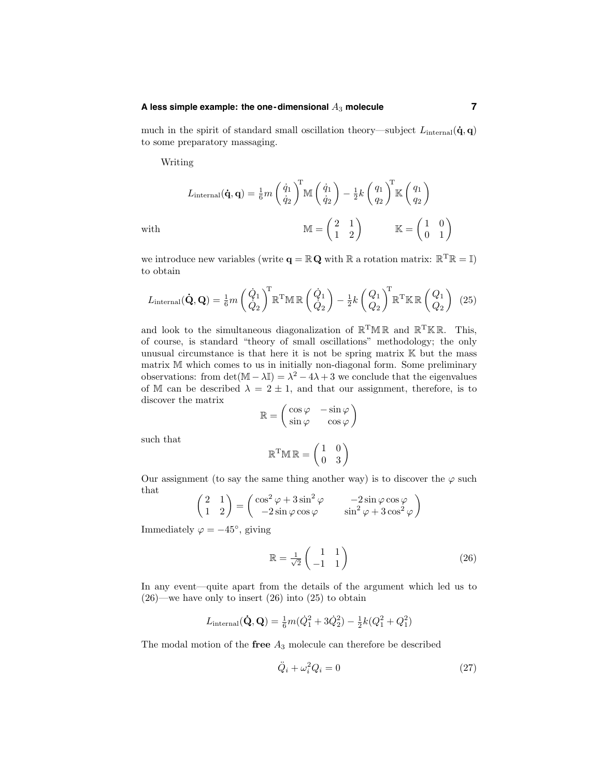# **A less simple example: the one-dimensional** A<sup>3</sup> **molecule 7**

much in the spirit of standard small oscillation theory—subject  $L_{\text{internal}}(\dot{\mathbf{q}}, \mathbf{q})$ to some preparatory massaging.

Writing

$$
L_{\text{internal}}(\dot{\mathbf{q}}, \mathbf{q}) = \frac{1}{6}m \left(\frac{\dot{q}_1}{\dot{q}_2}\right)^T \mathbb{M}\left(\frac{\dot{q}_1}{\dot{q}_2}\right) - \frac{1}{2}k \left(\frac{q_1}{q_2}\right)^T \mathbb{K}\left(\frac{q_1}{q_2}\right)
$$
\n
$$
\mathbb{M} = \begin{pmatrix} 2 & 1 \\ 1 & 2 \end{pmatrix} \qquad \mathbb{K} = \begin{pmatrix} 1 & 0 \\ 0 & 1 \end{pmatrix}
$$

we introduce new variables (write  $\mathbf{q} = \mathbb{R} \mathbf{Q}$  with  $\mathbb{R}$  a rotation matrix:  $\mathbb{R}^T \mathbb{R} = \mathbb{I}$ ) to obtain

$$
L_{\text{internal}}(\dot{\mathbf{Q}}, \mathbf{Q}) = \frac{1}{6} m \left( \frac{\dot{Q}_1}{\dot{Q}_2} \right)^{\text{T}} \mathbb{R}^{\text{T}} \mathbb{M} \mathbb{R} \left( \frac{\dot{Q}_1}{\dot{Q}_2} \right) - \frac{1}{2} k \left( \frac{Q_1}{Q_2} \right)^{\text{T}} \mathbb{R}^{\text{T}} \mathbb{K} \mathbb{R} \left( \frac{Q_1}{Q_2} \right) (25)
$$

and look to the simultaneous diagonalization of  $\mathbb{R}^T \mathbb{M} \mathbb{R}$  and  $\mathbb{R}^T \mathbb{K} \mathbb{R}$ . This, of course, is standard "theory of small oscillations" methodology; the only unusual circumstance is that here it is not be spring matrix K but the mass matrix M which comes to us in initially non-diagonal form. Some preliminary observations: from  $\det(\mathbb{M} - \lambda \mathbb{I}) = \lambda^2 - 4\lambda + 3$  we conclude that the eigenvalues of M can be described  $\lambda = 2 \pm 1$ , and that our assignment, therefore, is to discover the matrix

$$
\mathbb{R}=\left(\begin{matrix}\cos\varphi&-\sin\varphi\\\sin\varphi&\cos\varphi\end{matrix}\right)
$$

such that

$$
\mathbb{R}^T \mathbb{M} \, \mathbb{R} = \begin{pmatrix} 1 & 0 \\ 0 & 3 \end{pmatrix}
$$

Our assignment (to say the same thing another way) is to discover the  $\varphi$  such that  $\sim$ 

$$
\begin{pmatrix} 2 & 1 \\ 1 & 2 \end{pmatrix} = \begin{pmatrix} \cos^2 \varphi + 3\sin^2 \varphi & -2\sin \varphi \cos \varphi \\ -2\sin \varphi \cos \varphi & \sin^2 \varphi + 3\cos^2 \varphi \end{pmatrix}
$$

Immediately  $\varphi = -45^\circ$ , giving

$$
\mathbb{R} = \frac{1}{\sqrt{2}} \begin{pmatrix} 1 & 1 \\ -1 & 1 \end{pmatrix} \tag{26}
$$

In any event—quite apart from the details of the argument which led us to  $(26)$ —we have only to insert  $(26)$  into  $(25)$  to obtain

$$
L_{\text{internal}}(\dot{\mathbf{Q}}, \mathbf{Q}) = \frac{1}{6}m(\dot{Q}_1^2 + 3\dot{Q}_2^2) - \frac{1}{2}k(Q_1^2 + Q_1^2)
$$

The modal motion of the free  $A_3$  molecule can therefore be described

$$
\ddot{Q}_i + \omega_i^2 Q_i = 0 \tag{27}
$$